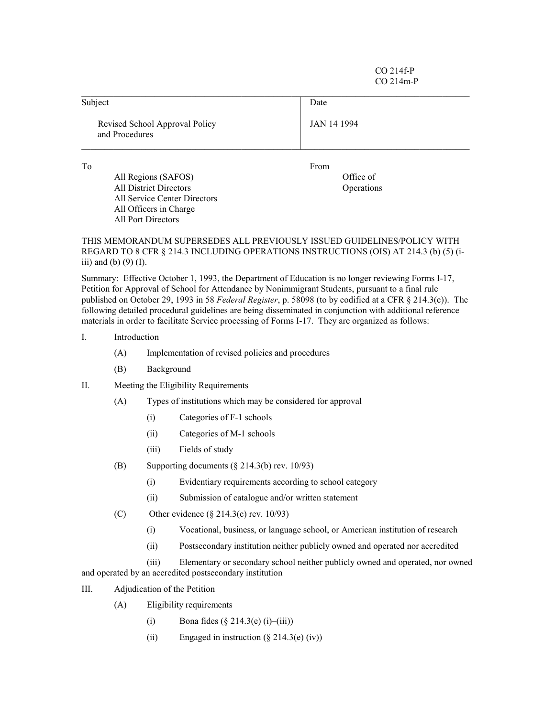CO 214f-P CO 214m-P

| Subject                                          | Date               |  |
|--------------------------------------------------|--------------------|--|
| Revised School Approval Policy<br>and Procedures | <b>JAN 14 1994</b> |  |
| To                                               | From               |  |
| All Regions (SAFOS)                              | Office of          |  |
| <b>All District Directors</b>                    | Operations         |  |
| All Service Center Directors                     |                    |  |
| All Officers in Charge                           |                    |  |

THIS MEMORANDUM SUPERSEDES ALL PREVIOUSLY ISSUED GUIDELINES/POLICY WITH REGARD TO 8 CFR ß 214.3 INCLUDING OPERATIONS INSTRUCTIONS (OIS) AT 214.3 (b) (5) (iiii) and (b)  $(9)$  (I).

Summary: Effective October 1, 1993, the Department of Education is no longer reviewing Forms I-17, Petition for Approval of School for Attendance by Nonimmigrant Students, pursuant to a final rule published on October 29, 1993 in 58 *Federal Register*, p. 58098 (to by codified at a CFR ß 214.3(c)). The following detailed procedural guidelines are being disseminated in conjunction with additional reference materials in order to facilitate Service processing of Forms I-17. They are organized as follows:

- I. Introduction
	- (A) Implementation of revised policies and procedures
	- (B) Background

All Port Directors

- II. Meeting the Eligibility Requirements
	- (A) Types of institutions which may be considered for approval
		- (i) Categories of F-1 schools
		- (ii) Categories of M-1 schools
		- (iii) Fields of study
	- (B) Supporting documents (ß 214.3(b) rev. 10/93)
		- (i) Evidentiary requirements according to school category
		- (ii) Submission of catalogue and/or written statement
	- (C) Other evidence  $(\S$  214.3(c) rev. 10/93)
		- (i) Vocational, business, or language school, or American institution of research
		- (ii) Postsecondary institution neither publicly owned and operated nor accredited

(iii) Elementary or secondary school neither publicly owned and operated, nor owned and operated by an accredited postsecondary institution

- III. Adjudication of the Petition
	- (A) Eligibility requirements
		- (i) Bona fides  $(\S 214.3(e) (i) (iii))$
		- (ii) Engaged in instruction  $(\S 214.3(e)$  (iv))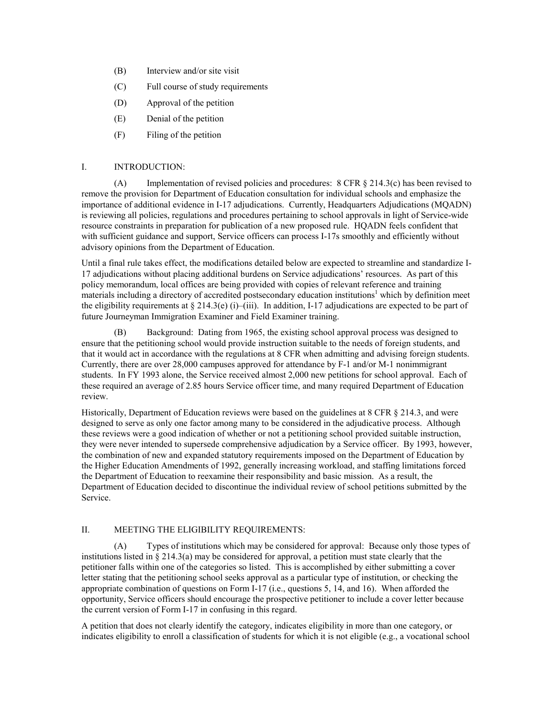- (B) Interview and/or site visit
- (C) Full course of study requirements
- (D) Approval of the petition
- (E) Denial of the petition
- (F) Filing of the petition

## I. INTRODUCTION:

(A) Implementation of revised policies and procedures:  $8 \text{ CFR } \frac{8}{3}$  214.3(c) has been revised to remove the provision for Department of Education consultation for individual schools and emphasize the importance of additional evidence in I-17 adjudications. Currently, Headquarters Adjudications (MQADN) is reviewing all policies, regulations and procedures pertaining to school approvals in light of Service-wide resource constraints in preparation for publication of a new proposed rule. HQADN feels confident that with sufficient guidance and support, Service officers can process I-17s smoothly and efficiently without advisory opinions from the Department of Education.

Until a final rule takes effect, the modifications detailed below are expected to streamline and standardize I-17 adjudications without placing additional burdens on Service adjudications' resources. As part of this policy memorandum, local offices are being provided with copies of relevant reference and training materials including a directory of accredited postsecondary education institutions<sup>1</sup> which by definition meet the eligibility requirements at  $\S 214.3(e)$  (i)–(iii). In addition, I-17 adjudications are expected to be part of future Journeyman Immigration Examiner and Field Examiner training.

(B) Background: Dating from 1965, the existing school approval process was designed to ensure that the petitioning school would provide instruction suitable to the needs of foreign students, and that it would act in accordance with the regulations at 8 CFR when admitting and advising foreign students. Currently, there are over 28,000 campuses approved for attendance by F-1 and/or M-1 nonimmigrant students. In FY 1993 alone, the Service received almost 2,000 new petitions for school approval. Each of these required an average of 2.85 hours Service officer time, and many required Department of Education review.

Historically, Department of Education reviews were based on the guidelines at 8 CFR § 214.3, and were designed to serve as only one factor among many to be considered in the adjudicative process. Although these reviews were a good indication of whether or not a petitioning school provided suitable instruction, they were never intended to supersede comprehensive adjudication by a Service officer. By 1993, however, the combination of new and expanded statutory requirements imposed on the Department of Education by the Higher Education Amendments of 1992, generally increasing workload, and staffing limitations forced the Department of Education to reexamine their responsibility and basic mission. As a result, the Department of Education decided to discontinue the individual review of school petitions submitted by the Service.

## II. MEETING THE ELIGIBILITY REQUIREMENTS:

(A) Types of institutions which may be considered for approval: Because only those types of institutions listed in  $\S 214.3(a)$  may be considered for approval, a petition must state clearly that the petitioner falls within one of the categories so listed. This is accomplished by either submitting a cover letter stating that the petitioning school seeks approval as a particular type of institution, or checking the appropriate combination of questions on Form I-17 (i.e., questions 5, 14, and 16). When afforded the opportunity, Service officers should encourage the prospective petitioner to include a cover letter because the current version of Form I-17 in confusing in this regard.

A petition that does not clearly identify the category, indicates eligibility in more than one category, or indicates eligibility to enroll a classification of students for which it is not eligible (e.g., a vocational school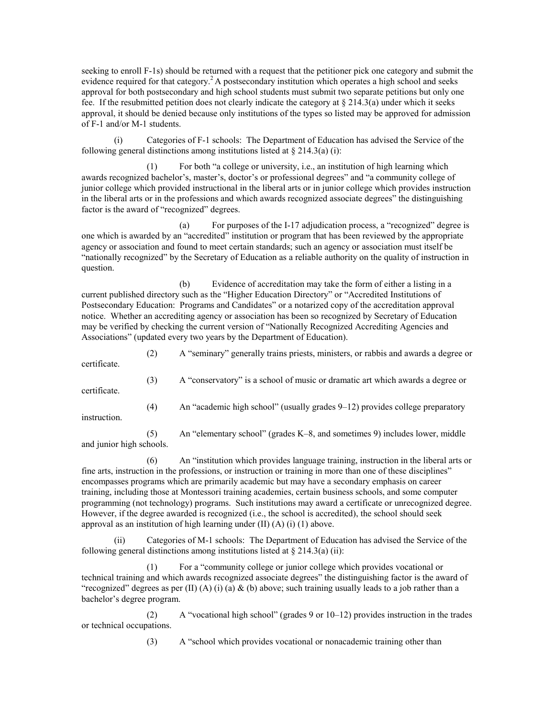seeking to enroll F-1s) should be returned with a request that the petitioner pick one category and submit the evidence required for that category.<sup>2</sup> A postsecondary institution which operates a high school and seeks approval for both postsecondary and high school students must submit two separate petitions but only one fee. If the resubmitted petition does not clearly indicate the category at  $\S 214.3(a)$  under which it seeks approval, it should be denied because only institutions of the types so listed may be approved for admission of F-1 and/or M-1 students.

(i) Categories of F-1 schools: The Department of Education has advised the Service of the following general distinctions among institutions listed at  $\S 214.3(a)$  (i):

 $(1)$  For both "a college or university, i.e., an institution of high learning which awards recognized bachelor's, master's, doctor's or professional degrees" and "a community college of junior college which provided instructional in the liberal arts or in junior college which provides instruction in the liberal arts or in the professions and which awards recognized associate degrees" the distinguishing factor is the award of "recognized" degrees.

(a) For purposes of the  $I-17$  adjudication process, a "recognized" degree is one which is awarded by an "accredited" institution or program that has been reviewed by the appropriate agency or association and found to meet certain standards; such an agency or association must itself be ìnationally recognizedî by the Secretary of Education as a reliable authority on the quality of instruction in question.

(b) Evidence of accreditation may take the form of either a listing in a current published directory such as the "Higher Education Directory" or "Accredited Institutions of Postsecondary Education: Programs and Candidates" or a notarized copy of the accreditation approval notice. Whether an accrediting agency or association has been so recognized by Secretary of Education may be verified by checking the current version of "Nationally Recognized Accrediting Agencies and Associations" (updated every two years by the Department of Education).

(2) A "seminary" generally trains priests, ministers, or rabbis and awards a degree or

certificate.

(3) A "conservatory" is a school of music or dramatic art which awards a degree or certificate. (4) An "academic high school" (usually grades  $9-12$ ) provides college preparatory

instruction.

(5) An "elementary school" (grades  $K-8$ , and sometimes 9) includes lower, middle and junior high schools.

 $(6)$  An "institution which provides language training, instruction in the liberal arts or fine arts, instruction in the professions, or instruction or training in more than one of these disciplines" encompasses programs which are primarily academic but may have a secondary emphasis on career training, including those at Montessori training academies, certain business schools, and some computer programming (not technology) programs. Such institutions may award a certificate or unrecognized degree. However, if the degree awarded is recognized (i.e., the school is accredited), the school should seek approval as an institution of high learning under (II) (A) (i) (1) above.

(ii) Categories of M-1 schools: The Department of Education has advised the Service of the following general distinctions among institutions listed at  $\S 214.3(a)$  (ii):

 $(1)$  For a "community college or junior college which provides vocational or technical training and which awards recognized associate degrees" the distinguishing factor is the award of "recognized" degrees as per (II) (A) (i) (a)  $\&$  (b) above; such training usually leads to a job rather than a bachelor's degree program.

(2) A "vocational high school" (grades 9 or  $10-12$ ) provides instruction in the trades or technical occupations.

(3) A "school which provides vocational or nonacademic training other than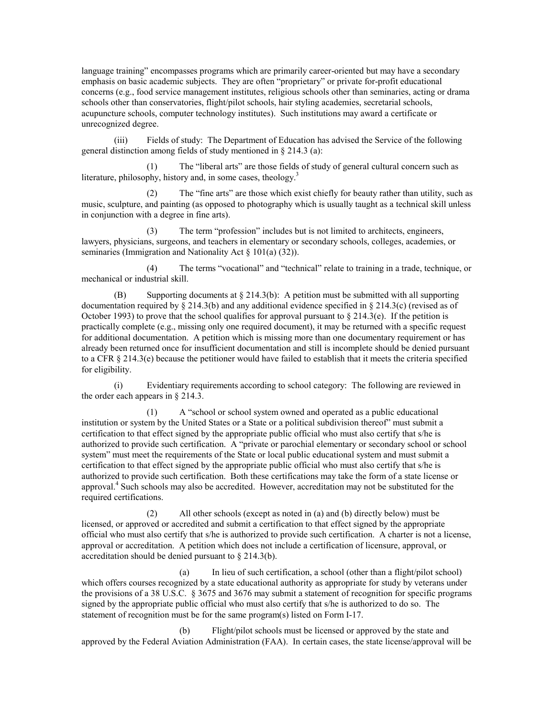language training" encompasses programs which are primarily career-oriented but may have a secondary emphasis on basic academic subjects. They are often "proprietary" or private for-profit educational concerns (e.g., food service management institutes, religious schools other than seminaries, acting or drama schools other than conservatories, flight/pilot schools, hair styling academies, secretarial schools, acupuncture schools, computer technology institutes). Such institutions may award a certificate or unrecognized degree.

(iii) Fields of study: The Department of Education has advised the Service of the following general distinction among fields of study mentioned in  $\S$  214.3 (a):

 $(1)$  The "liberal arts" are those fields of study of general cultural concern such as literature, philosophy, history and, in some cases, theology.<sup>3</sup>

 $(2)$  The "fine arts" are those which exist chiefly for beauty rather than utility, such as music, sculpture, and painting (as opposed to photography which is usually taught as a technical skill unless in conjunction with a degree in fine arts).

 $(3)$  The term "profession" includes but is not limited to architects, engineers, lawyers, physicians, surgeons, and teachers in elementary or secondary schools, colleges, academies, or seminaries (Immigration and Nationality Act  $\S$  101(a) (32)).

 $(4)$  The terms "vocational" and "technical" relate to training in a trade, technique, or mechanical or industrial skill.

(B) Supporting documents at  $\S 214.3(b)$ : A petition must be submitted with all supporting documentation required by  $\S 214.3(b)$  and any additional evidence specified in  $\S 214.3(c)$  (revised as of October 1993) to prove that the school qualifies for approval pursuant to  $\S 214.3(e)$ . If the petition is practically complete (e.g., missing only one required document), it may be returned with a specific request for additional documentation. A petition which is missing more than one documentary requirement or has already been returned once for insufficient documentation and still is incomplete should be denied pursuant to a CFR  $\S 214.3(e)$  because the petitioner would have failed to establish that it meets the criteria specified for eligibility.

(i) Evidentiary requirements according to school category: The following are reviewed in the order each appears in  $\S$  214.3.

 $(1)$  A "school or school system owned and operated as a public educational institution or system by the United States or a State or a political subdivision thereof<sup>\*</sup> must submit a certification to that effect signed by the appropriate public official who must also certify that s/he is authorized to provide such certification. A "private or parochial elementary or secondary school or school system<sup>"</sup> must meet the requirements of the State or local public educational system and must submit a certification to that effect signed by the appropriate public official who must also certify that s/he is authorized to provide such certification. Both these certifications may take the form of a state license or approval.<sup>4</sup> Such schools may also be accredited. However, accreditation may not be substituted for the required certifications.

(2) All other schools (except as noted in (a) and (b) directly below) must be licensed, or approved or accredited and submit a certification to that effect signed by the appropriate official who must also certify that s/he is authorized to provide such certification. A charter is not a license, approval or accreditation. A petition which does not include a certification of licensure, approval, or accreditation should be denied pursuant to  $\S$  214.3(b).

(a) In lieu of such certification, a school (other than a flight/pilot school) which offers courses recognized by a state educational authority as appropriate for study by veterans under the provisions of a 38 U.S.C.  $\S 3675$  and 3676 may submit a statement of recognition for specific programs signed by the appropriate public official who must also certify that s/he is authorized to do so. The statement of recognition must be for the same program(s) listed on Form I-17.

(b) Flight/pilot schools must be licensed or approved by the state and approved by the Federal Aviation Administration (FAA). In certain cases, the state license/approval will be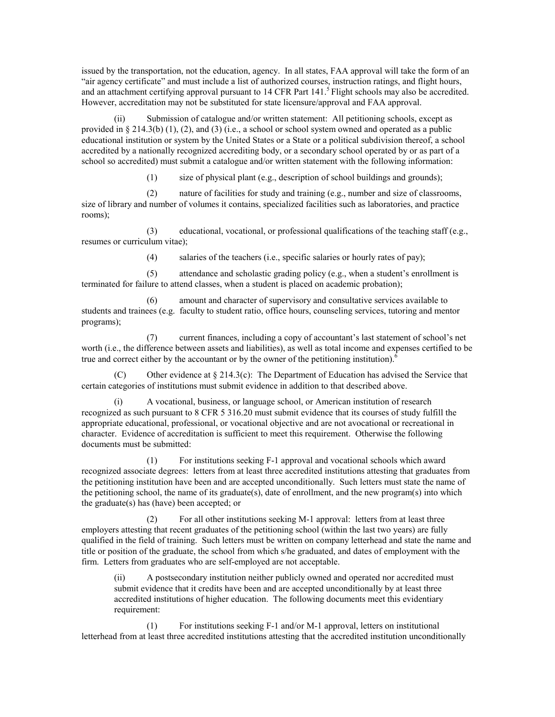issued by the transportation, not the education, agency. In all states, FAA approval will take the form of an ìair agency certificateî and must include a list of authorized courses, instruction ratings, and flight hours, and an attachment certifying approval pursuant to  $14$  CFR Part  $141<sup>5</sup>$  Flight schools may also be accredited. However, accreditation may not be substituted for state licensure/approval and FAA approval.

(ii) Submission of catalogue and/or written statement: All petitioning schools, except as provided in § 214.3(b) (1), (2), and (3) (i.e., a school or school system owned and operated as a public educational institution or system by the United States or a State or a political subdivision thereof, a school accredited by a nationally recognized accrediting body, or a secondary school operated by or as part of a school so accredited) must submit a catalogue and/or written statement with the following information:

(1) size of physical plant (e.g., description of school buildings and grounds);

(2) nature of facilities for study and training (e.g., number and size of classrooms, size of library and number of volumes it contains, specialized facilities such as laboratories, and practice rooms);

(3) educational, vocational, or professional qualifications of the teaching staff (e.g., resumes or curriculum vitae);

(4) salaries of the teachers (i.e., specific salaries or hourly rates of pay);

 $(5)$  attendance and scholastic grading policy (e.g., when a student's enrollment is terminated for failure to attend classes, when a student is placed on academic probation);

amount and character of supervisory and consultative services available to students and trainees (e.g. faculty to student ratio, office hours, counseling services, tutoring and mentor programs);

(7) current finances, including a copy of accountant's last statement of school's net worth (i.e., the difference between assets and liabilities), as well as total income and expenses certified to be true and correct either by the accountant or by the owner of the petitioning institution).<sup>6</sup>

Other evidence at  $\S 214.3(c)$ : The Department of Education has advised the Service that certain categories of institutions must submit evidence in addition to that described above.

(i) A vocational, business, or language school, or American institution of research recognized as such pursuant to 8 CFR 5 316.20 must submit evidence that its courses of study fulfill the appropriate educational, professional, or vocational objective and are not avocational or recreational in character. Evidence of accreditation is sufficient to meet this requirement. Otherwise the following documents must be submitted:

(1) For institutions seeking F-1 approval and vocational schools which award recognized associate degrees: letters from at least three accredited institutions attesting that graduates from the petitioning institution have been and are accepted unconditionally. Such letters must state the name of the petitioning school, the name of its graduate(s), date of enrollment, and the new program(s) into which the graduate(s) has (have) been accepted; or

(2) For all other institutions seeking M-1 approval: letters from at least three employers attesting that recent graduates of the petitioning school (within the last two years) are fully qualified in the field of training. Such letters must be written on company letterhead and state the name and title or position of the graduate, the school from which s/he graduated, and dates of employment with the firm. Letters from graduates who are self-employed are not acceptable.

(ii) A postsecondary institution neither publicly owned and operated nor accredited must submit evidence that it credits have been and are accepted unconditionally by at least three accredited institutions of higher education. The following documents meet this evidentiary requirement:

(1) For institutions seeking F-1 and/or M-1 approval, letters on institutional letterhead from at least three accredited institutions attesting that the accredited institution unconditionally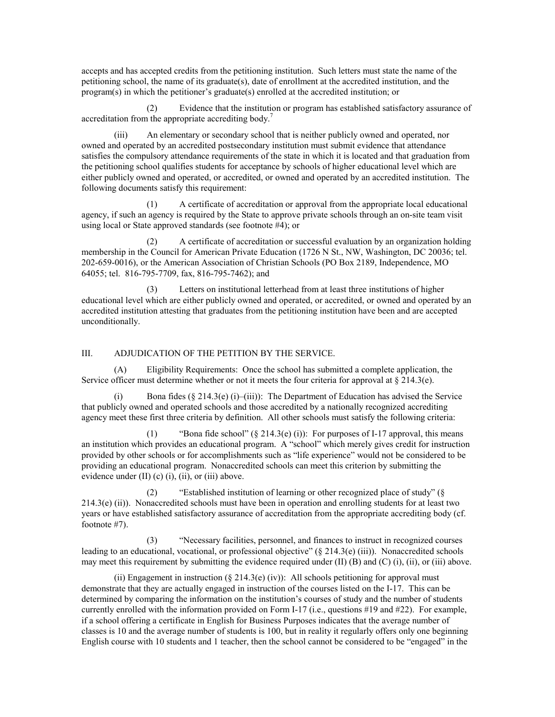accepts and has accepted credits from the petitioning institution. Such letters must state the name of the petitioning school, the name of its graduate(s), date of enrollment at the accredited institution, and the  $program(s)$  in which the petitioner's graduate(s) enrolled at the accredited institution; or

(2) Evidence that the institution or program has established satisfactory assurance of accreditation from the appropriate accrediting body.<sup>7</sup>

(iii) An elementary or secondary school that is neither publicly owned and operated, nor owned and operated by an accredited postsecondary institution must submit evidence that attendance satisfies the compulsory attendance requirements of the state in which it is located and that graduation from the petitioning school qualifies students for acceptance by schools of higher educational level which are either publicly owned and operated, or accredited, or owned and operated by an accredited institution. The following documents satisfy this requirement:

(1) A certificate of accreditation or approval from the appropriate local educational agency, if such an agency is required by the State to approve private schools through an on-site team visit using local or State approved standards (see footnote #4); or

(2) A certificate of accreditation or successful evaluation by an organization holding membership in the Council for American Private Education (1726 N St., NW, Washington, DC 20036; tel. 202-659-0016), or the American Association of Christian Schools (PO Box 2189, Independence, MO 64055; tel. 816-795-7709, fax, 816-795-7462); and

(3) Letters on institutional letterhead from at least three institutions of higher educational level which are either publicly owned and operated, or accredited, or owned and operated by an accredited institution attesting that graduates from the petitioning institution have been and are accepted unconditionally.

## III. ADJUDICATION OF THE PETITION BY THE SERVICE.

(A) Eligibility Requirements: Once the school has submitted a complete application, the Service officer must determine whether or not it meets the four criteria for approval at  $\S 214.3(e)$ .

Bona fides ( $\S 214.3$ (e) (i)–(iii)): The Department of Education has advised the Service that publicly owned and operated schools and those accredited by a nationally recognized accrediting agency meet these first three criteria by definition. All other schools must satisfy the following criteria:

(1) <sup>4</sup>Bona fide school" (§ 214.3(e) (i)): For purposes of I-17 approval, this means an institution which provides an educational program. A "school" which merely gives credit for instruction provided by other schools or for accomplishments such as "life experience" would not be considered to be providing an educational program. Nonaccredited schools can meet this criterion by submitting the evidence under (II) (c) (i), (ii), or (iii) above.

(2)  $\cdot$  <sup>exerci</sup>bished institution of learning or other recognized place of study<sup>?</sup> ( $\S$  $214.3(e)$  (ii)). Nonaccredited schools must have been in operation and enrolling students for at least two years or have established satisfactory assurance of accreditation from the appropriate accrediting body (cf. footnote #7).

(3) <sup>\*\*</sup>Necessary facilities, personnel, and finances to instruct in recognized courses leading to an educational, vocational, or professional objective"  $(§ 214.3(e) (iii))$ . Nonaccredited schools may meet this requirement by submitting the evidence required under  $(II)$   $(B)$  and  $(C)$   $(i)$ ,  $(ii)$ , or  $(iii)$  above.

(ii) Engagement in instruction ( $\S 214.3(e)$  (iv)): All schools petitioning for approval must demonstrate that they are actually engaged in instruction of the courses listed on the I-17. This can be determined by comparing the information on the institution's courses of study and the number of students currently enrolled with the information provided on Form I-17 (i.e., questions #19 and #22). For example, if a school offering a certificate in English for Business Purposes indicates that the average number of classes is 10 and the average number of students is 100, but in reality it regularly offers only one beginning English course with  $10$  students and  $1$  teacher, then the school cannot be considered to be "engaged" in the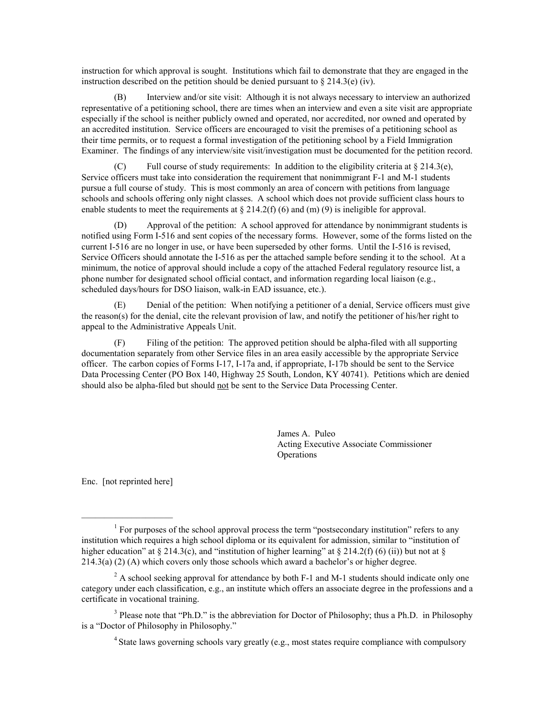instruction for which approval is sought. Institutions which fail to demonstrate that they are engaged in the instruction described on the petition should be denied pursuant to  $\S 214.3(e)$  (iv).

(B) Interview and/or site visit: Although it is not always necessary to interview an authorized representative of a petitioning school, there are times when an interview and even a site visit are appropriate especially if the school is neither publicly owned and operated, nor accredited, nor owned and operated by an accredited institution. Service officers are encouraged to visit the premises of a petitioning school as their time permits, or to request a formal investigation of the petitioning school by a Field Immigration Examiner. The findings of any interview/site visit/investigation must be documented for the petition record.

(C) Full course of study requirements: In addition to the eligibility criteria at  $\S 214.3(e)$ , Service officers must take into consideration the requirement that nonimmigrant F-1 and M-1 students pursue a full course of study. This is most commonly an area of concern with petitions from language schools and schools offering only night classes. A school which does not provide sufficient class hours to enable students to meet the requirements at  $\S 214.2(f)$  (6) and (m) (9) is ineligible for approval.

Approval of the petition: A school approved for attendance by nonimmigrant students is notified using Form I-516 and sent copies of the necessary forms. However, some of the forms listed on the current I-516 are no longer in use, or have been superseded by other forms. Until the I-516 is revised, Service Officers should annotate the I-516 as per the attached sample before sending it to the school. At a minimum, the notice of approval should include a copy of the attached Federal regulatory resource list, a phone number for designated school official contact, and information regarding local liaison (e.g., scheduled days/hours for DSO liaison, walk-in EAD issuance, etc.).

(E) Denial of the petition: When notifying a petitioner of a denial, Service officers must give the reason(s) for the denial, cite the relevant provision of law, and notify the petitioner of his/her right to appeal to the Administrative Appeals Unit.

(F) Filing of the petition: The approved petition should be alpha-filed with all supporting documentation separately from other Service files in an area easily accessible by the appropriate Service officer. The carbon copies of Forms I-17, I-17a and, if appropriate, I-17b should be sent to the Service Data Processing Center (PO Box 140, Highway 25 South, London, KY 40741). Petitions which are denied should also be alpha-filed but should not be sent to the Service Data Processing Center.

> James A. Puleo Acting Executive Associate Commissioner **Operations**

Enc. [not reprinted here]

 $\mathcal{L}_\text{max}$  , where  $\mathcal{L}_\text{max}$  and  $\mathcal{L}_\text{max}$ 

<sup>&</sup>lt;sup>1</sup> For purposes of the school approval process the term "postsecondary institution" refers to any institution which requires a high school diploma or its equivalent for admission, similar to "institution of higher education" at § 214.3(c), and "institution of higher learning" at § 214.2(f) (6) (ii)) but not at §  $214.3(a)$  (2) (A) which covers only those schools which award a bachelor's or higher degree.

 $2^2$  A school seeking approval for attendance by both F-1 and M-1 students should indicate only one category under each classification, e.g., an institute which offers an associate degree in the professions and a certificate in vocational training.

<sup>&</sup>lt;sup>3</sup> Please note that "Ph.D." is the abbreviation for Doctor of Philosophy; thus a Ph.D. in Philosophy is a "Doctor of Philosophy in Philosophy."

<sup>&</sup>lt;sup>4</sup> State laws governing schools vary greatly (e.g., most states require compliance with compulsory